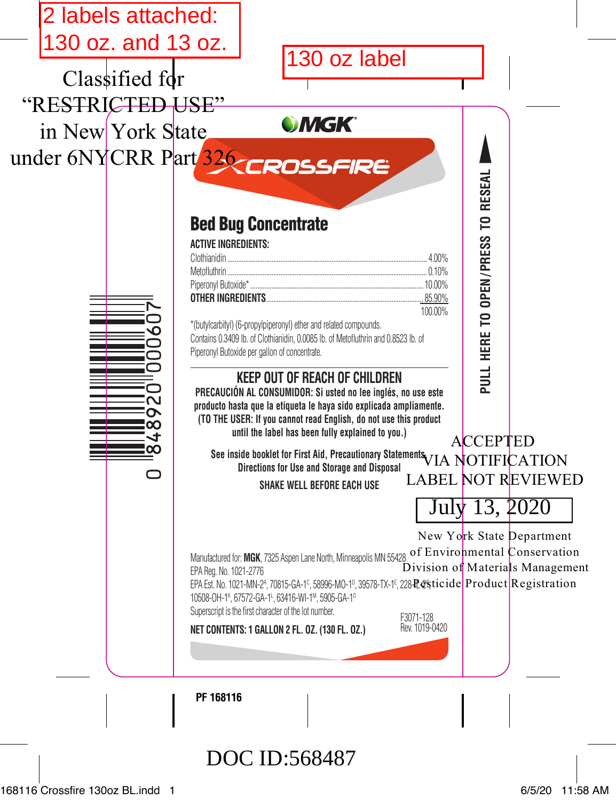

168116 Crossfire 130oz BL.indd 1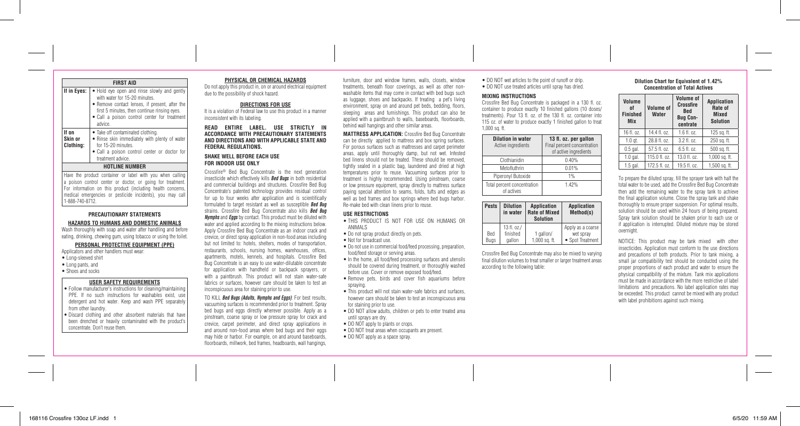| 168116 Crossfire 130oz LF.indd 1 | 6/5/20 11:59 AM |
|----------------------------------|-----------------|

|                               | <b>FIRST AID</b>                                                                                                                                                                                                                          |  |  |
|-------------------------------|-------------------------------------------------------------------------------------------------------------------------------------------------------------------------------------------------------------------------------------------|--|--|
| If in Eyes:                   | • Hold eye open and rinse slowly and gently<br>with water for 15-20 minutes.<br>• Remove contact lenses, if present, after the<br>first 5 minutes, then continue rinsing eyes.<br>• Call a poison control center for treatment<br>advice. |  |  |
| If on<br>Skin or<br>Clothina: | • Take off contaminated clothing.<br>. Rinse skin immediately with plenty of water<br>for 15-20 minutes.<br>• Call a poison control center or doctor for<br>treatment advice.                                                             |  |  |
| <b>HOTLINE NUMBER</b>         |                                                                                                                                                                                                                                           |  |  |

#### Have the product container or label with you when calling a poison control center or doctor, or going for treatment. For information on this product (including health concerns, medical emergencies or pesticide incidents), you may call 1-888-740-8712.

# **PRECAUTIONARY STATEMENTS**

**HAZARDS TO HUMANS AND DOMESTIC ANIMALS**

Wash thoroughly with soap and water after handling and before eating, drinking, chewing gum, using tobacco or using the toilet.

# **PERSONAL PROTECTIVE EQUIPMENT (PPE)**

Applicators and other handlers must wear:

- Long-sleeved shirt
- Long pants, and
- Shoes and socks

# **USER SAFETY REQUIREMENTS**

- Follow manufacturer's instructions for cleaning/maintaining PPE. If no such instructions for washables exist, use detergent and hot water. Keep and wash PPE separately from other laundry.
- Discard clothing and other absorbent materials that have been drenched or heavily contaminated with the product's concentrate. Don't reuse them.

#### **PHYSICAL OR CHEMICAL HAZARDS**

Do not apply this product in, on or around electrical equipment due to the possibility of shock hazard.

### **DIRECTIONS FOR USE**

It is a violation of Federal law to use this product in a manner inconsistent with its labeling.

**READ ENTIRE LABEL. USE STRICTLY IN ACCORDANCE WITH PRECAUTIONARY STATEMENTS AND DIRECTIONS AND WITH APPLICABLE STATE AND FEDERAL REGULATIONS.**

#### **SHAKE WELL BEFORE EACH USE FOR INDOOR USE ONLY**

Crossfire® Bed Bug Concentrate is the next generation insecticide which effectively kills *Bed Bugs* in both residential and commercial buildings and structures. Crossfire Bed Bug Concentrate's patented technology provides residual control for up to four weeks after application and is scientifically formulated to target resistant as well as susceptible *Bed Bug* strains. Crossfire Bed Bug Concentrate also kills *Bed Bug Nymphs* and *Eggs* by contact. This product must be diluted with water and applied according to the mixing instructions below. Apply Crossfire Bed Bug Concentrate as an indoor crack and crevice, or direct spray application in non-food areas including but not limited to: hotels, shelters, modes of transportation, restaurants, schools, nursing homes, warehouses, offices, apartments, motels, kennels, and hospitals. Crossfire Bed Bug Concentrate is an easy to use water-dilutable concentrate for application with handheld or backpack sprayers, or with a paintbrush. This product will not stain water-safe

fabrics or surfaces, however care should be taken to test an inconspicuous area for staining prior to use.

TO KILL *Bed Bugs (Adults, Nymphs and Eggs)*: For best results, vacuuming surfaces is recommended prior to treatment. Spray bed bugs and eggs directly wherever possible. Apply as a pinstream, coarse spray or low pressure spray for crack and crevice, carpet perimeter, and direct spray applications in and around non-food areas where bed bugs and their eggs may hide or harbor. For example, on and around baseboards, floorboards, millwork, bed frames, headboards, wall hangings,

furniture, door and window frames, walls, closets, window treatments, beneath floor coverings, as well as other nonwashable items that may come in contact with bed bugs such as luggage, shoes and backpacks. If treating a pet's living environment, spray on and around pet beds, bedding, floors, sleeping areas and furnishings. This product can also be applied with a paintbrush to walls, baseboards, floorboards, behind wall hangings and other similar areas.

**MATTRESS APPLICATION:** Crossfire Bed Bug Concentrate can be directly applied to mattress and box spring surfaces. For porous surfaces such as mattresses and carpet perimeter areas, apply until thoroughly damp, but not wet. Infested bed linens should not be treated. These should be removed, tightly sealed in a plastic bag, laundered and dried at high temperatures prior to reuse. Vacuuming surfaces prior to treatment is highly recommended. Using pinstream, coarse or low pressure equipment, spray directly to mattress surface paying special attention to seams, folds, tufts and edges as well as bed frames and box springs where bed bugs harbor. Re-make bed with clean linens prior to reuse.

#### **USE RESTRICTIONS**

- THIS PRODUCT IS NOT FOR USE ON HUMANS OR ANIMALS
- Do not spray product directly on pets.
- Not for broadcast use.
	- Do not use in commercial food/feed processing, preparation, food/feed storage or serving areas.
- In the home, all food/feed processing surfaces and utensils should be covered during treatment, or thoroughly washed before use. Cover or remove exposed food/feed.
- Remove pets, birds and cover fish aquariums before spraying.
- This product will not stain water-safe fabrics and surfaces, however care should be taken to test an inconspicuous area for staining prior to use.
- DO NOT allow adults, children or pets to enter treated area until sprays are dry.
- DO NOT apply to plants or crops.
- DO NOT treat areas when occupants are present.
- DO NOT apply as a space spray.

# • DO NOT wet articles to the point of runoff or drip. • DO NOT use treated articles until spray has dried.

# **MIXING INSTRUCTIONS**

Crossfire Bed Bug Concentrate is packaged in a 130 fl. oz. container to produce exactly 10 finished gallons (10 doses/ treatments). Pour 13 fl. oz. of the 130 fl. oz. container into 115 oz. of water to produce exactly 1 finished gallon to treat 1,000 sq. ft.

| <b>Dilution in water</b><br>Active ingredients | 13 fl. oz. per gallon<br>Final percent concentration<br>of active ingredients |
|------------------------------------------------|-------------------------------------------------------------------------------|
| Clothianidin                                   | 0.40%                                                                         |
| Metofluthrin                                   | 0.01%                                                                         |
| Piperonyl Butoxide                             | 1%                                                                            |
| Total percent concentration<br>of actives      | 142%                                                                          |

| Pests      | <b>Dilution</b><br>in water | <b>Application</b><br><b>Rate of Mixed</b><br>Solution | <b>Application</b><br>Method(s) |
|------------|-----------------------------|--------------------------------------------------------|---------------------------------|
| <b>Bed</b> | 13 fl. oz./<br>finished     | 1 gallon/                                              | Apply as a coarse<br>wet spray  |
| Bugs       | gallon                      | 1,000 sq. ft.                                          | • Spot Treatment                |

Crossfire Bed Bug Concentrate may also be mixed to varying final dilution volumes to treat smaller or larger treatment areas according to the following table:

### **Dilution Chart for Equivalent of 1.42% Concentration of Total Actives**

| Volume<br>of<br><b>Finished</b><br><b>Mix</b> | <b>Volume of</b><br>Water | <b>Volume</b> of<br><b>Crossfire</b><br><b>Bed</b><br><b>Bug Con-</b><br>centrate | <b>Application</b><br>Rate of<br><b>Mixed</b><br><b>Solution</b> |
|-----------------------------------------------|---------------------------|-----------------------------------------------------------------------------------|------------------------------------------------------------------|
| 16 fl. oz.                                    | 14.4 fl. oz.              | 1.6 fl. oz.                                                                       | 125 sq. ft.                                                      |
| $1.0$ gt.                                     | 28.8 fl. oz.              | 3.2 fl. oz.                                                                       | 250 sq. ft.                                                      |
| $0.5$ gal.                                    | 57.5 fl. oz.              | $6.5$ fl. $07.$                                                                   | 500 sq. ft.                                                      |
| $1.0$ gal.                                    | 115.0 fl. oz.             | 13.0 fl. oz.                                                                      | 1,000 sq. ft.                                                    |
| $1.5$ gal.                                    | 172.5 fl. oz.             | 19.5 fl. oz.                                                                      | 1.500 sq. ft.                                                    |

To prepare the diluted spray, fill the sprayer tank with half the total water to be used, add the Crossfire Bed Bug Concentrate then add the remaining water to the spray tank to achieve the final application volume. Close the spray tank and shake thoroughly to ensure proper suspension. For optimal results, solution should be used within 24 hours of being prepared. Spray tank solution should be shaken prior to each use or if application is interrupted. Diluted mixture may be stored overnight.

NOTICE: This product may be tank mixed with other insecticides. Application must conform to the use directions and precautions of both products. Prior to tank mixing, a small jar compatibility test should be conducted using the proper proportions of each product and water to ensure the physical compatibility of the mixture. Tank mix applications must be made in accordance with the more restrictive of label limitations and precautions. No label application rates may be exceeded. This product cannot be mixed with any product with label prohibitions against such mixing.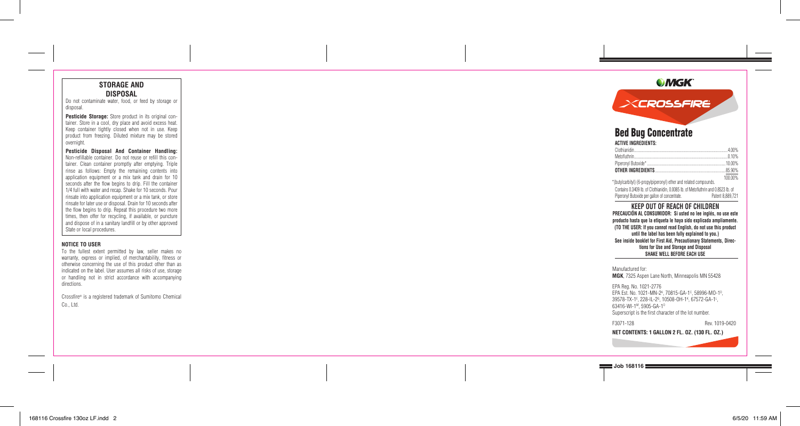# **STORAGE AND DISPOSAL**

Do not contaminate water, food, or feed by storage or disposal.

**Pesticide Storage:** Store product in its original con tainer. Store in a cool, dry place and avoid excess heat. Keep container tightly closed when not in use. Keep product from freezing. Diluted mixture may be stored overnight.

**Pesticide Disposal And Container Handling:** Non-refillable container. Do not reuse or refill this con tainer. Clean container promptly after emptying. Triple rinse as follows: Empty the remaining contents into application equipment or a mix tank and drain for 10 seconds after the flow begins to drip. Fill the container 1/4 full with water and recap. Shake for 10 seconds. Pour rinsate into application equipment or a mix tank, or store rinsate for later use or disposal. Drain for 10 seconds after the flow begins to drip. Repeat this procedure two more times, then offer for recycling, if available, or puncture and dispose of in a sanitary landfill or by other approved State or local procedures.

### **NOTICE TO USER**

To the fullest extent permitted by law, seller makes no warranty, express or implied, of merchantability, fitness or otherwise concerning the use of this product other than as indicated on the label. User assumes all risks of use, storage or handling not in strict accordance with accompanying directions.

Crossfire ® is a registered trademark of Sumitomo Chemical Co., Ltd.

# **OMGK**

# XCROSSFIRE

# Bed Bug Concentrate

# **ACTIVE INGREDIENTS:**

| 4 00%    |
|----------|
|          |
|          |
| .85.90%  |
| 100,000/ |

\*(butylcarbityl) (6-propylpiperonyl) ether and related compounds. Contains 0.3409 lb. of Clothianidin, 0.0085 lb. of Metofluthrin and 0.8523 lb. of Piperonyl Butoxide per gallon of concentrate. Patent 8,889,721

# **KEEP OUT OF REACH OF CHILDREN**

**PRECAUCIÓN AL CONSUMIDOR: Si usted no lee inglés, no use este producto hasta que la etiqueta le haya sido explicada ampliamente. (TO THE USER: If you cannot read English, do not use this product until the label has been fully explained to you.) See inside booklet for First Aid, Precautionary Statements, Direc tions for Use and Storage and Disposal SHAKE WELL BEFORE EACH USE**

#### Manufactured for:

**MGK**, 7325 Aspen Lane North, Minneapolis MN 55428

EPA Reg. No. 1021-2776 EPA Est. No. 1021-MN-2<sup>A</sup>, 70815-GA-1<sup>c</sup>, 58996-MO-1<sup>p</sup>, 39578-TX-1<sup>E</sup>, 228-IL-2<sup>G</sup>, 10508-OH-1<sup>K</sup>, 67572-GA-1<sup>L</sup>, 63416-WI-1 M, 5905-GA-1 O Superscript is the first character of the lot number.

F3071-128 Rev. 1019-0420

**NET CONTENTS: 1 GALLON 2 FL. OZ. (130 FL. OZ.)**

**Job 168116**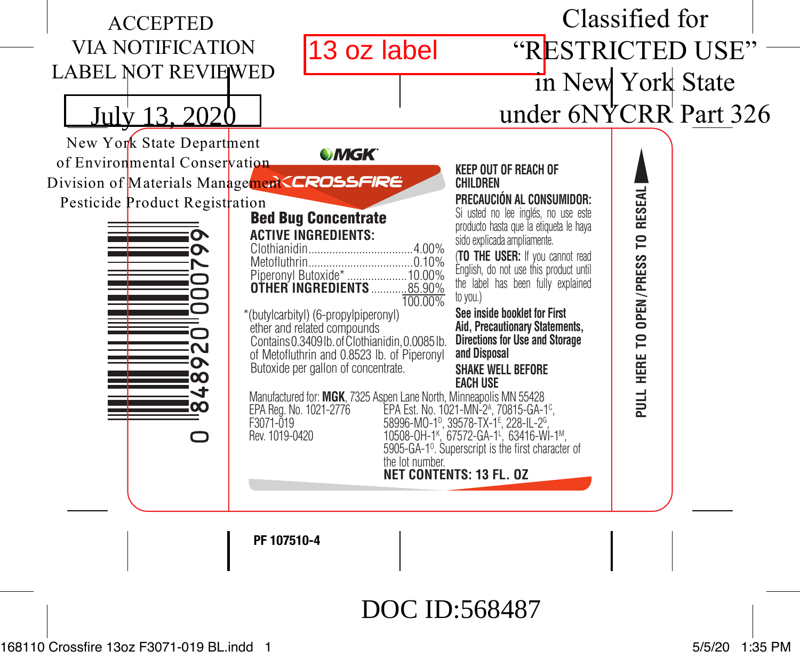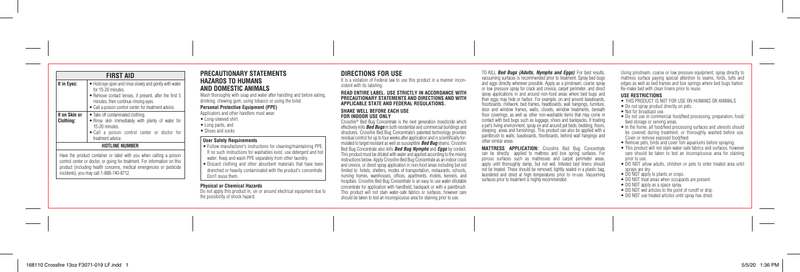**If on Skin or Clothing:**

#### **If in Eyes:**  $\bullet$  Hold eye open and rinse slowly and gently with water **PRECAUTIONARY STATEMENTS HAZARDS TO HUMANS AND DOMESTIC ANIMALS**

Wash thoroughly with soap and water after handling and before eating, drinking, chewing gum, using tobacco or using the toilet.

#### **Personal Protective Equipment (PPE)**

Applicators and other handlers must wear: • Long-sleeved shirt

• Long pants, and

# • Shoes and socks

#### **User Safety Requirements**

• Follow manufacturer's instructions for cleaning/maintaining PPE. If no such instructions for washables exist, use detergent and hot water. Keep and wash PPE separately from other laundry. • Discard clothing and other absorbent materials that have been drenched or heavily contaminated with the product's concentrate. Don't reuse them.

#### **Physical or Chemical Hazards**

Do not apply this product in, on or around electrical equipment due to the possibility of shock hazard.

# **DIRECTIONS FOR USE**

It is a violation of Federal law to use this product in a manner inconsistent with its labeling.

#### **READ ENTIRE LABEL. USE STRICTLY IN ACCORDANCE WITH PRECAUTIONARY STATEMENTS AND DIRECTIONS AND WITH APPLICABLE STATE AND FEDERAL REGULATIONS.**

# **SHAKE WELL BEFORE EACH USE FOR INDOOR USE ONLY**

Crossfire® Bed Bug Concentrate is the next generation insecticide which effectively kills *Bed Bugs* in both residential and commercial buildings and structures. Crossfire Bed Bug Concentrate's patented technology provides residual control for up to four weeks after application and is scientifically formulated to target resistant as well as susceptible *Bed Bug* strains. Crossfire Bed Bug Concentrate also kills *Bed Bug Nymphs* and *Eggs* by contact. This product must be diluted with water and applied according to the mixing instructions below. Apply Crossfire Bed Bug Concentrate as an indoor crack and crevice, or direct spray application in non-food areas including but not limited to: hotels, shelters, modes of transportation, restaurants, schools, nursing homes, warehouses, offices, apartments, motels, kennels, and hospitals. Crossfire Bed Bug Concentrate is an easy to use water-dilutable concentrate for application with handheld, backpack or with a paintbrush. This product will not stain water-safe fabrics or surfaces, however care should be taken to test an inconspicuous area for staining prior to use.

TO KILL *Bed Bugs (Adults, Nymphs and Eggs)*: For best results,

vacuuming surfaces is recommended prior to treatment. Spray bed bugs and eggs directly wherever possible. Apply as a pinstream, coarse spray or low pressure spray for crack and crevice, carpet perimeter, and direct spray applications in and around non-food areas where bed bugs and their eggs may hide or harbor. For example, on and around baseboards, floorboards, millwork, bed frames, headboards, wall hangings, furniture, door and window frames, walls, closets, window treatments, beneath floor coverings, as well as other non-washable items that may come in contact with bed bugs such as luggage, shoes and backpacks. If treating a pet's living environment, spray on and around pet beds, bedding, floors, sleeping areas and furnishings. This product can also be applied with a paintbrush to walls, baseboards, floorboards, behind wall hangings and other similar areas.

**MATTRESS APPLICATION:** Crossfire Bed Bug Concentrate can be directly applied to mattress and box spring surfaces. For porous surfaces such as mattresses and carpet perimeter areas, apply until thoroughly damp, but not wet. Infested bed linens should not be treated. These should be removed, tightly sealed in a plastic bag, laundered and dried at high temperatures prior to re-use. Vacuuming surfaces prior to treatment is highly recommended.

Using pinstream, coarse or low pressure equipment, spray directly to mattress surface paying special attention to seams, folds, tufts and edges as well as bed frames and box springs where bed bugs harbor. Re-make bed with clean linens prior to reuse.

#### **USE RESTRICTIONS**

- THIS PRODUCT IS NOT FOR USE ON HUMANS OR ANIMALS
- Do not spray product directly on pets.
- Not for broadcast use.
- Do not use in commercial food/feed processing, preparation, food/ feed storage or serving areas.
- In the home, all food/feed processing surfaces and utensils should be covered during treatment, or thoroughly washed before use. Cover or remove exposed food/feed.
- Remove pets, birds and cover fish aquariums before spraying.
- This product will not stain water-safe fabrics and surfaces, however care should be taken to test an inconspicuous area for staining prior to use.
- DO NOT allow adults, children or pets to enter treated area until sprays are dry.
- DO NOT apply to plants or crops.
- DO NOT treat areas when occupants are present.
- DO NOT apply as a space spray.
- DO NOT wet articles to the point of runoff or drip.
- DO NOT use treated articles until spray has dried.

**FIRST AID**

• Take off contaminated clothing.

• Remove contact lenses, if present, after the first 5 minutes, then continue rinsing eyes. • Call a poison control center for treatment advice.

• Rinse skin immediately with plenty of water for

• Call a poison control center or doctor for

for 15-20 minutes

15-20 minutes.

treatment advice. **HOTLINE NUMBER** Have the product container or label with you when calling a poison control center or doctor, or going for treatment. For information on this product (including health concerns, medical emergencies or pesticide

incidents), you may call 1-888-740-8712.